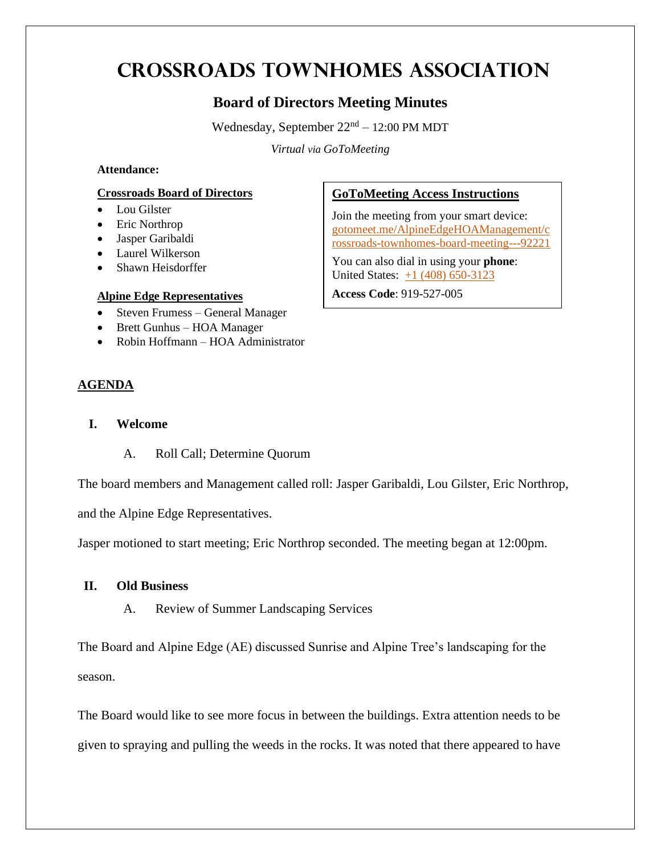# **Crossroads Townhomes Association**

# **Board of Directors Meeting Minutes**

Wednesday, September  $22<sup>nd</sup> - 12:00$  PM MDT

*Virtual via GoToMeeting*

### **Attendance:**

#### **Crossroads Board of Directors**

- Lou Gilster
- Eric Northrop
- Jasper Garibaldi
- Laurel Wilkerson
- Shawn Heisdorffer

#### **Alpine Edge Representatives**

- Steven Frumess General Manager
- Brett Gunhus HOA Manager
- Robin Hoffmann HOA Administrator

# **AGENDA**

- **I. Welcome**
	- A. Roll Call; Determine Quorum

The board members and Management called roll: Jasper Garibaldi, Lou Gilster, Eric Northrop,

and the Alpine Edge Representatives.

Jasper motioned to start meeting; Eric Northrop seconded. The meeting began at 12:00pm.

# **II. Old Business**

A. Review of Summer Landscaping Services

The Board and Alpine Edge (AE) discussed Sunrise and Alpine Tree's landscaping for the season.

The Board would like to see more focus in between the buildings. Extra attention needs to be given to spraying and pulling the weeds in the rocks. It was noted that there appeared to have

## **GoToMeeting Access Instructions**

Join the meeting from your smart device: [gotomeet.me/AlpineEdgeHOAManagement/c](http://www.gotomeet.me/AlpineEdgeHOAManagement/crossroads-townhomes-board-meeting---92221) [rossroads-townhomes-board-meeting---92221](http://www.gotomeet.me/AlpineEdgeHOAManagement/crossroads-townhomes-board-meeting---92221)

You can also dial in using your **phone**: United States: [+1 \(408\) 650-3123](tel:+14086503123,,919527005)

**Access Code**: 919-527-005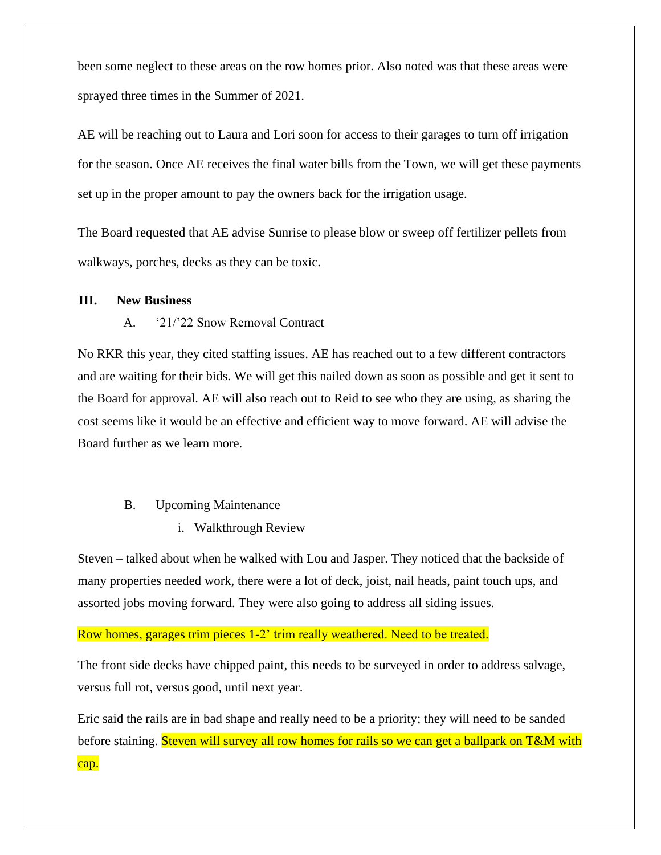been some neglect to these areas on the row homes prior. Also noted was that these areas were sprayed three times in the Summer of 2021.

AE will be reaching out to Laura and Lori soon for access to their garages to turn off irrigation for the season. Once AE receives the final water bills from the Town, we will get these payments set up in the proper amount to pay the owners back for the irrigation usage.

The Board requested that AE advise Sunrise to please blow or sweep off fertilizer pellets from walkways, porches, decks as they can be toxic.

#### **III. New Business**

#### A. '21/'22 Snow Removal Contract

No RKR this year, they cited staffing issues. AE has reached out to a few different contractors and are waiting for their bids. We will get this nailed down as soon as possible and get it sent to the Board for approval. AE will also reach out to Reid to see who they are using, as sharing the cost seems like it would be an effective and efficient way to move forward. AE will advise the Board further as we learn more.

#### B. Upcoming Maintenance

#### i. Walkthrough Review

Steven – talked about when he walked with Lou and Jasper. They noticed that the backside of many properties needed work, there were a lot of deck, joist, nail heads, paint touch ups, and assorted jobs moving forward. They were also going to address all siding issues.

#### Row homes, garages trim pieces 1-2' trim really weathered. Need to be treated.

The front side decks have chipped paint, this needs to be surveyed in order to address salvage, versus full rot, versus good, until next year.

Eric said the rails are in bad shape and really need to be a priority; they will need to be sanded before staining. Steven will survey all row homes for rails so we can get a ballpark on T&M with cap.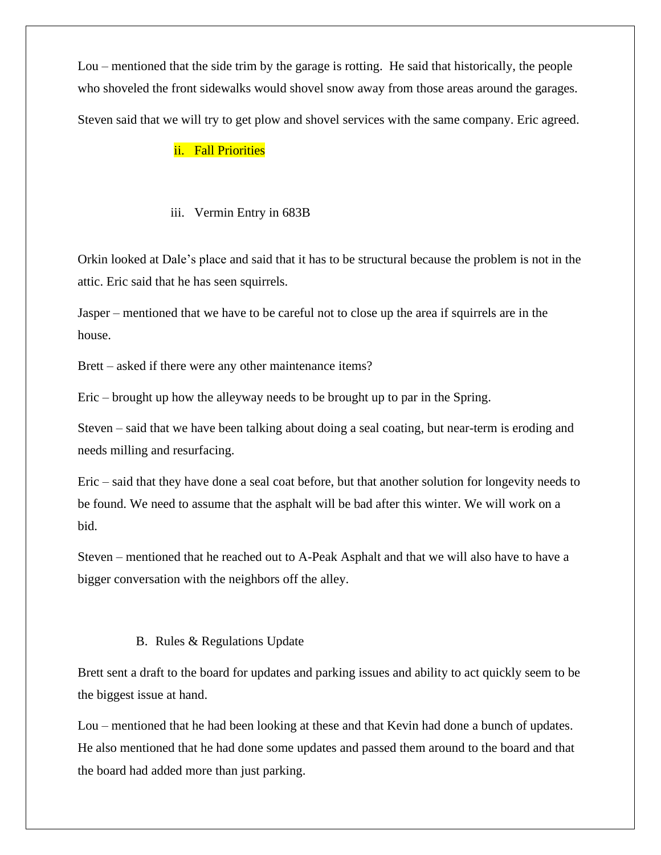Lou – mentioned that the side trim by the garage is rotting. He said that historically, the people who shoveled the front sidewalks would shovel snow away from those areas around the garages. Steven said that we will try to get plow and shovel services with the same company. Eric agreed.

## ii. Fall Priorities

#### iii. Vermin Entry in 683B

Orkin looked at Dale's place and said that it has to be structural because the problem is not in the attic. Eric said that he has seen squirrels.

Jasper – mentioned that we have to be careful not to close up the area if squirrels are in the house.

Brett – asked if there were any other maintenance items?

Eric – brought up how the alleyway needs to be brought up to par in the Spring.

Steven – said that we have been talking about doing a seal coating, but near-term is eroding and needs milling and resurfacing.

Eric – said that they have done a seal coat before, but that another solution for longevity needs to be found. We need to assume that the asphalt will be bad after this winter. We will work on a bid.

Steven – mentioned that he reached out to A-Peak Asphalt and that we will also have to have a bigger conversation with the neighbors off the alley.

#### B. Rules & Regulations Update

Brett sent a draft to the board for updates and parking issues and ability to act quickly seem to be the biggest issue at hand.

Lou – mentioned that he had been looking at these and that Kevin had done a bunch of updates. He also mentioned that he had done some updates and passed them around to the board and that the board had added more than just parking.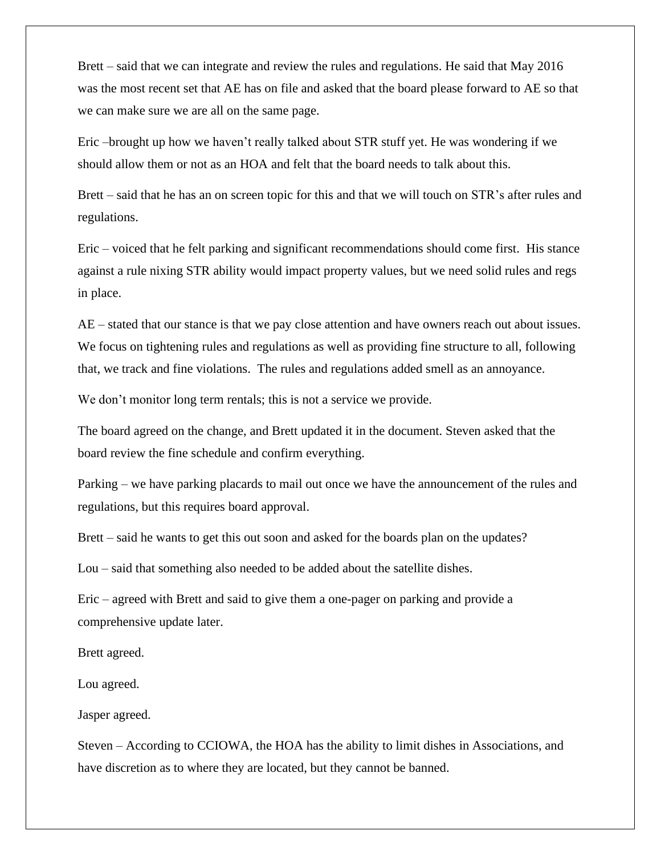Brett – said that we can integrate and review the rules and regulations. He said that May 2016 was the most recent set that AE has on file and asked that the board please forward to AE so that we can make sure we are all on the same page.

Eric –brought up how we haven't really talked about STR stuff yet. He was wondering if we should allow them or not as an HOA and felt that the board needs to talk about this.

Brett – said that he has an on screen topic for this and that we will touch on STR's after rules and regulations.

Eric – voiced that he felt parking and significant recommendations should come first. His stance against a rule nixing STR ability would impact property values, but we need solid rules and regs in place.

AE – stated that our stance is that we pay close attention and have owners reach out about issues. We focus on tightening rules and regulations as well as providing fine structure to all, following that, we track and fine violations. The rules and regulations added smell as an annoyance.

We don't monitor long term rentals; this is not a service we provide.

The board agreed on the change, and Brett updated it in the document. Steven asked that the board review the fine schedule and confirm everything.

Parking – we have parking placards to mail out once we have the announcement of the rules and regulations, but this requires board approval.

Brett – said he wants to get this out soon and asked for the boards plan on the updates?

Lou – said that something also needed to be added about the satellite dishes.

Eric – agreed with Brett and said to give them a one-pager on parking and provide a comprehensive update later.

Brett agreed.

Lou agreed.

Jasper agreed.

Steven – According to CCIOWA, the HOA has the ability to limit dishes in Associations, and have discretion as to where they are located, but they cannot be banned.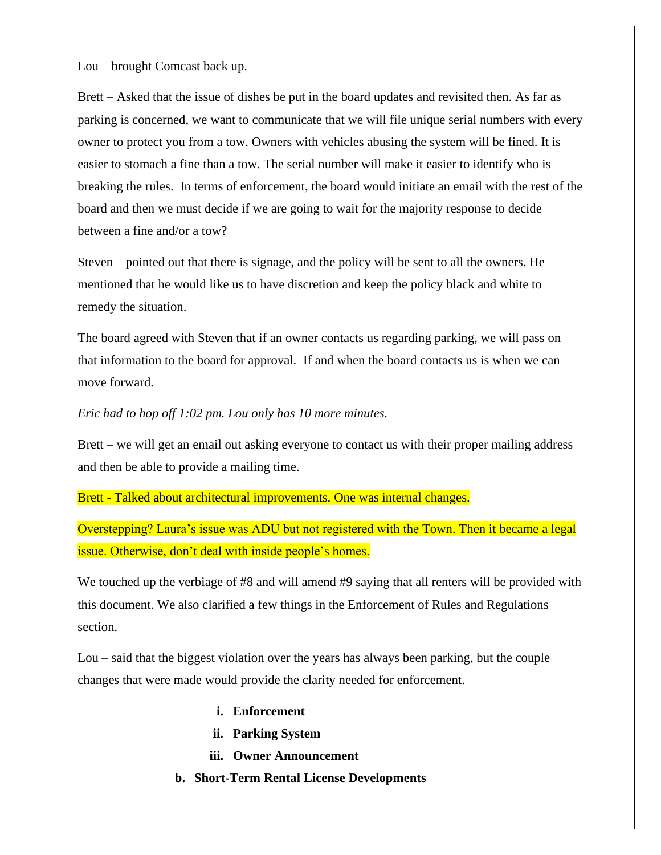Lou – brought Comcast back up.

Brett – Asked that the issue of dishes be put in the board updates and revisited then. As far as parking is concerned, we want to communicate that we will file unique serial numbers with every owner to protect you from a tow. Owners with vehicles abusing the system will be fined. It is easier to stomach a fine than a tow. The serial number will make it easier to identify who is breaking the rules. In terms of enforcement, the board would initiate an email with the rest of the board and then we must decide if we are going to wait for the majority response to decide between a fine and/or a tow?

Steven – pointed out that there is signage, and the policy will be sent to all the owners. He mentioned that he would like us to have discretion and keep the policy black and white to remedy the situation.

The board agreed with Steven that if an owner contacts us regarding parking, we will pass on that information to the board for approval. If and when the board contacts us is when we can move forward.

#### *Eric had to hop off 1:02 pm. Lou only has 10 more minutes.*

Brett – we will get an email out asking everyone to contact us with their proper mailing address and then be able to provide a mailing time.

Brett - Talked about architectural improvements. One was internal changes.

Overstepping? Laura's issue was ADU but not registered with the Town. Then it became a legal issue. Otherwise, don't deal with inside people's homes.

We touched up the verbiage of #8 and will amend #9 saying that all renters will be provided with this document. We also clarified a few things in the Enforcement of Rules and Regulations section.

Lou – said that the biggest violation over the years has always been parking, but the couple changes that were made would provide the clarity needed for enforcement.

- **i. Enforcement**
- **ii. Parking System**
- **iii. Owner Announcement**
- **b. Short-Term Rental License Developments**